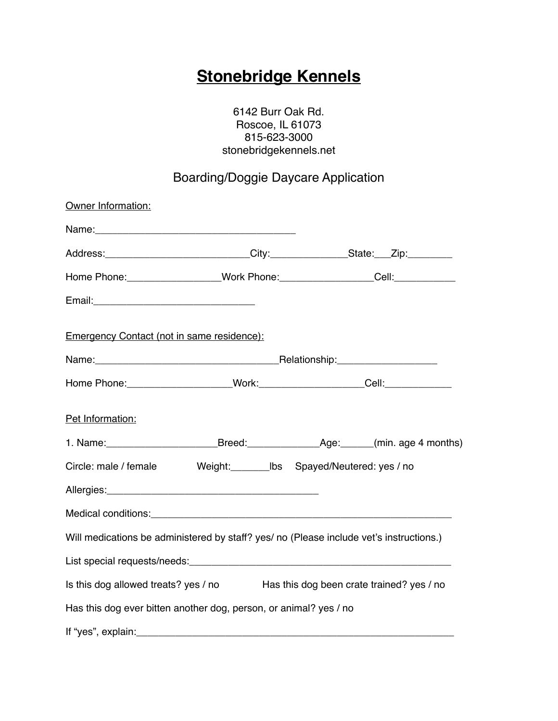## **Stonebridge Kennels**

6142 Burr Oak Rd. Roscoe, IL 61073 815-623-3000 stonebridgekennels.net

## Boarding/Doggie Daycare Application

| Owner Information:                                                                             |  |                                                                                   |  |  |
|------------------------------------------------------------------------------------------------|--|-----------------------------------------------------------------------------------|--|--|
|                                                                                                |  |                                                                                   |  |  |
| Address: ___________________________City:__________________State:___Zip:________               |  |                                                                                   |  |  |
| Home Phone: ___________________Work Phone: ___________________Cell: ____________               |  |                                                                                   |  |  |
|                                                                                                |  |                                                                                   |  |  |
| <b>Emergency Contact (not in same residence):</b>                                              |  |                                                                                   |  |  |
|                                                                                                |  |                                                                                   |  |  |
|                                                                                                |  | Home Phone: ______________________Work: _______________________Cell: ____________ |  |  |
| Pet Information:                                                                               |  |                                                                                   |  |  |
| 1. Name: _____________________________Breed: ______________________________(min. age 4 months) |  |                                                                                   |  |  |
| Circle: male / female Weight: ________ lbs Spayed/Neutered: yes / no                           |  |                                                                                   |  |  |
|                                                                                                |  |                                                                                   |  |  |
|                                                                                                |  |                                                                                   |  |  |
| Will medications be administered by staff? yes/ no (Please include vet's instructions.)        |  |                                                                                   |  |  |
|                                                                                                |  |                                                                                   |  |  |
| Is this dog allowed treats? yes / no Has this dog been crate trained? yes / no                 |  |                                                                                   |  |  |
| Has this dog ever bitten another dog, person, or animal? yes / no                              |  |                                                                                   |  |  |
|                                                                                                |  |                                                                                   |  |  |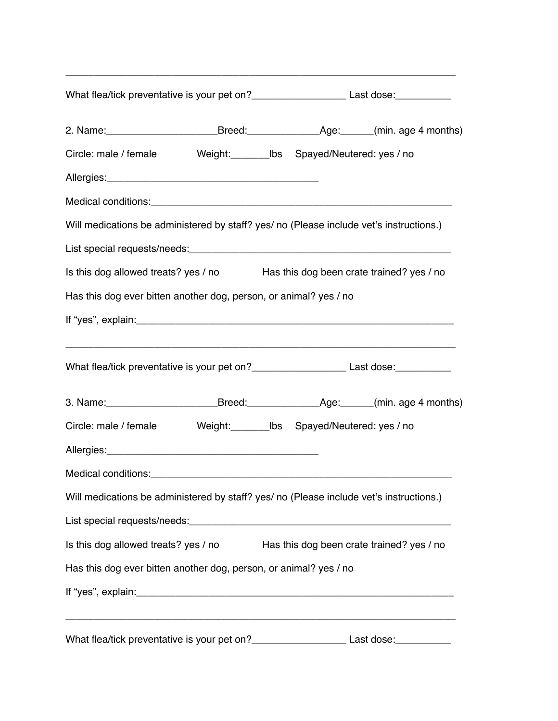| What flea/tick preventative is your pet on?________________________Last dose:___________            |  |  |                                           |  |
|-----------------------------------------------------------------------------------------------------|--|--|-------------------------------------------|--|
| 2. Name: ______________________________Breed: __________________________________(min. age 4 months) |  |  |                                           |  |
| Circle: male / female Weight: ________ lbs Spayed/Neutered: yes / no                                |  |  |                                           |  |
|                                                                                                     |  |  |                                           |  |
|                                                                                                     |  |  |                                           |  |
| Will medications be administered by staff? yes/ no (Please include vet's instructions.)             |  |  |                                           |  |
|                                                                                                     |  |  |                                           |  |
| Is this dog allowed treats? yes / no Has this dog been crate trained? yes / no                      |  |  |                                           |  |
| Has this dog ever bitten another dog, person, or animal? yes / no                                   |  |  |                                           |  |
|                                                                                                     |  |  |                                           |  |
|                                                                                                     |  |  |                                           |  |
| What flea/tick preventative is your pet on?__________________________Last dose:_____________        |  |  |                                           |  |
| 3. Name: _____________________________Breed: _______________________________(min. age 4 months)     |  |  |                                           |  |
| Circle: male / female Weight: ________ lbs Spayed/Neutered: yes / no                                |  |  |                                           |  |
|                                                                                                     |  |  |                                           |  |
|                                                                                                     |  |  |                                           |  |
| Will medications be administered by staff? yes/ no (Please include vet's instructions.)             |  |  |                                           |  |
|                                                                                                     |  |  |                                           |  |
| Is this dog allowed treats? yes / no                                                                |  |  | Has this dog been crate trained? yes / no |  |
| Has this dog ever bitten another dog, person, or animal? yes / no                                   |  |  |                                           |  |
|                                                                                                     |  |  |                                           |  |
| What flea/tick preventative is your pet on?_________________________Last dose:_____________         |  |  |                                           |  |

\_\_\_\_\_\_\_\_\_\_\_\_\_\_\_\_\_\_\_\_\_\_\_\_\_\_\_\_\_\_\_\_\_\_\_\_\_\_\_\_\_\_\_\_\_\_\_\_\_\_\_\_\_\_\_\_\_\_\_\_\_\_\_\_\_\_\_\_\_\_